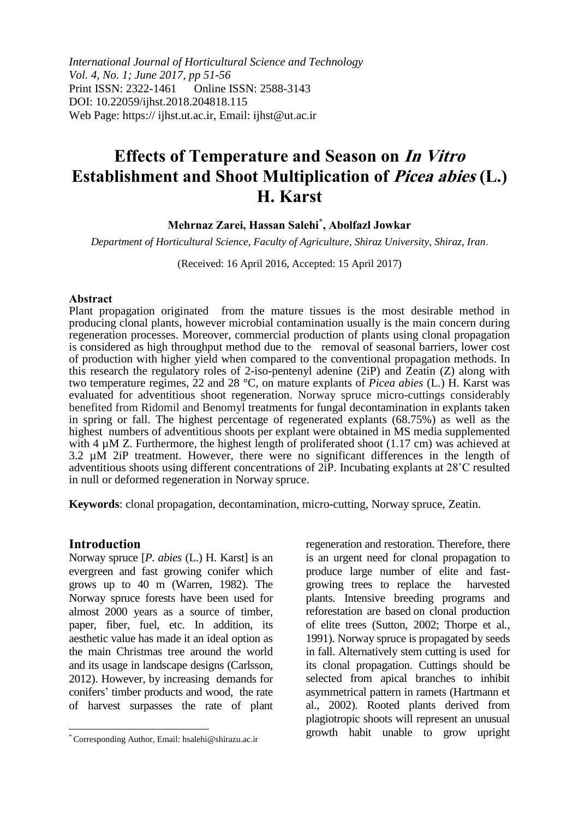*International Journal of Horticultural Science and Technology Vol. 4, No. 1; June 2017, pp 51-56* Print ISSN: 2322-1461 Online ISSN: 2588-3143 DOI: 10.22059/ijhst.2018.204818.115 Web Page: https:// ijhst.ut.ac.ir, Email: ijhst@ut.ac.ir

# **Effects of Temperature and Season on In Vitro Establishment and Shoot Multiplication of Picea abies (L.) H. Karst**

**Mehrnaz Zarei, Hassan Salehi\* , Abolfazl Jowkar**

*Department of Horticultural Science, Faculty of Agriculture, Shiraz University, Shiraz, Iran*.

(Received: 16 April 2016, Accepted: 15 April 2017)

#### **Abstract**

Plant propagation originated from the mature tissues is the most desirable method in producing clonal plants, however microbial contamination usually is the main concern during regeneration processes. Moreover, commercial production of plants using clonal propagation is considered as high throughput method due to the removal of seasonal barriers, lower cost of production with higher yield when compared to the conventional propagation methods. In this research the regulatory roles of 2-iso-pentenyl adenine (2iP) and Zeatin (Z) along with two temperature regimes, 22 and 28 °C, on mature explants of *Picea abies* (L.) H. Karst was evaluated for adventitious shoot regeneration. Norway spruce micro-cuttings considerably benefited from Ridomil and Benomyl treatments for fungal decontamination in explants taken in spring or fall. The highest percentage of regenerated explants (68.75%) as well as the highest numbers of adventitious shoots per explant were obtained in MS media supplemented with 4  $\mu$ M Z. Furthermore, the highest length of proliferated shoot (1.17 cm) was achieved at 3.2 µM 2iP treatment. However, there were no significant differences in the length of adventitious shoots using different concentrations of 2iP. Incubating explants at 28˚C resulted in null or deformed regeneration in Norway spruce.

**Keywords**: clonal propagation, decontamination, micro-cutting, Norway spruce, Zeatin.

#### **Introduction**

 $\overline{\phantom{a}}$ 

Norway spruce [*P. abies* (L.) H. Karst] is an evergreen and fast growing conifer which grows up to 40 m [\(Warren, 1982\)](#page-5-0). The Norway spruce forests have been used for almost 2000 years as a source of timber, paper, fiber, fuel, etc. In addition, its aesthetic value has made it an ideal option as the main Christmas tree around the world and its usage in landscape designs [\(Carlsson,](#page-5-1)  [2012\)](#page-5-1). However, by increasing demands for conifers' timber products and wood, the rate of harvest surpasses the rate of plant

regeneration and restoration. Therefore, there is an urgent need for clonal propagation to produce large number of elite and fastgrowing trees to replace the harvested plants. Intensive breeding programs and reforestation are based on clonal production of elite trees (Sutton, 2002; Thorpe et al*.,* 1991). Norway spruce is propagated by seeds in fall. Alternatively stem cutting is used for its clonal propagation. Cuttings should be selected from apical branches to inhibit asymmetrical pattern in ramets [\(Hartmann et](#page-5-2)  [al., 2002\)](#page-5-2). Rooted plants derived from plagiotropic shoots will represent an unusual growth habit unable to grow upright

<sup>\*</sup> Corresponding Author, Email: hsalehi@shirazu.ac.ir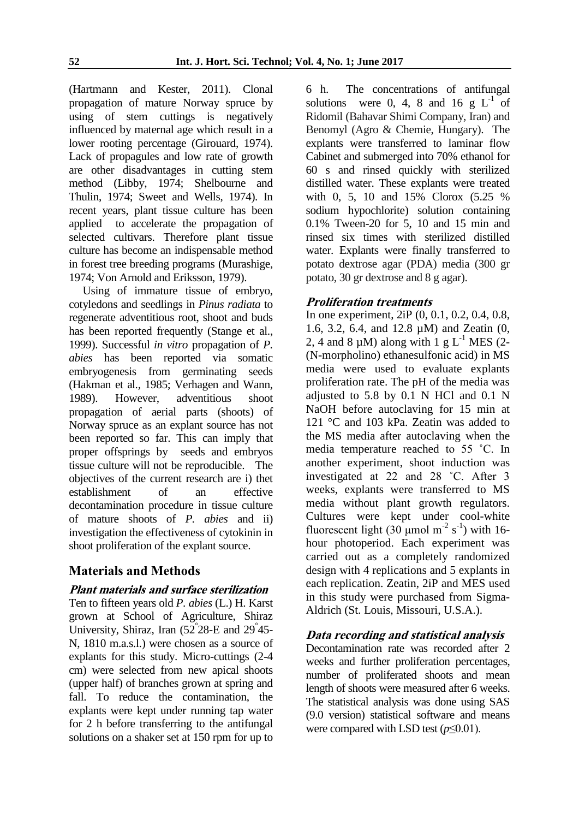[\(Hartmann and Kester, 2011\)](#page-5-3). Clonal propagation of mature Norway spruce by using of stem cuttings is negatively influenced by maternal age which result in a lower rooting percentage [\(Girouard, 1974\)](#page-5-4). Lack of propagules and low rate of growth are other disadvantages in cutting stem method [\(Libby, 1974;](#page-5-5) [Shelbourne and](#page-5-6)  [Thulin, 1974;](#page-5-6) [Sweet and Wells, 1974\)](#page-5-7). In recent years, plant tissue culture has been applied to accelerate the propagation of selected cultivars. Therefore plant tissue culture has become an indispensable method in forest tree breeding programs [\(Murashige,](#page-5-8)  [1974;](#page-5-8) [Von Arnold and Eriksson, 1979\)](#page-5-9).

Using of immature tissue of embryo, cotyledons and seedlings in *Pinus radiata* to regenerate adventitious root, shoot and buds has been reported frequently [\(Stange et al.,](#page-5-10)  [1999\)](#page-5-10). Successful *in vitro* propagation of *P. abies* has been reported via somatic embryogenesis from germinating seeds (Hakman et al*.,* 1985; Verhagen and Wann, 1989). However, adventitious shoot propagation of aerial parts (shoots) of Norway spruce as an explant source has not been reported so far. This can imply that proper offsprings by seeds and embryos tissue culture will not be reproducible. The objectives of the current research are i) thet establishment of an effective decontamination procedure in tissue culture of mature shoots of *P. abies* and ii) investigation the effectiveness of cytokinin in shoot proliferation of the explant source.

## **Materials and Methods**

## **Plant materials and surface sterilization**

Ten to fifteen years old *P. abies* (L.) H. Karst grown at School of Agriculture, Shiraz University, Shiraz, Iran  $(52^{\degree}28$ -E and  $29^{\degree}45$ -N, 1810 m.a.s.l.) were chosen as a source of explants for this study. Micro-cuttings (2-4 cm) were selected from new apical shoots (upper half) of branches grown at spring and fall. To reduce the contamination, the explants were kept under running tap water for 2 h before transferring to the antifungal solutions on a shaker set at 150 rpm for up to

6 h. The concentrations of antifungal solutions were 0, 4, 8 and 16  $g L<sup>-1</sup>$  of Ridomil (Bahavar Shimi Company, Iran) and Benomyl (Agro & Chemie, Hungary). The explants were transferred to laminar flow Cabinet and submerged into 70% ethanol for 60 s and rinsed quickly with sterilized distilled water. These explants were treated with 0, 5, 10 and 15% Clorox (5.25 % sodium hypochlorite) solution containing 0.1% Tween-20 for 5, 10 and 15 min and rinsed six times with sterilized distilled water. Explants were finally transferred to potato dextrose agar (PDA) media (300 gr potato, 30 gr dextrose and 8 g agar).

## **Proliferation treatments**

In one experiment, 2iP (0, 0.1, 0.2, 0.4, 0.8, 1.6, 3.2, 6.4, and 12.8 µM) and Zeatin (0, 2, 4 and 8  $\mu$ M) along with 1 g L<sup>-1</sup> MES (2-(N-morpholino) ethanesulfonic acid) in MS media were used to evaluate explants proliferation rate. The pH of the media was adjusted to 5.8 by 0.1 N HCl and 0.1 N NaOH before autoclaving for 15 min at 121 °C and 103 kPa. Zeatin was added to the MS media after autoclaving when the media temperature reached to 55 ˚C. In another experiment, shoot induction was investigated at 22 and 28 ˚C. After 3 weeks, explants were transferred to MS media without plant growth regulators. Cultures were kept under cool-white fluorescent light  $(30 \text{ µmol m}^{-2} \text{ s}^{-1})$  with 16hour photoperiod. Each experiment was carried out as a completely randomized design with 4 replications and 5 explants in each replication. Zeatin, 2iP and MES used in this study were purchased from Sigma-Aldrich (St. Louis, Missouri, U.S.A.).

## **Data recording and statistical analysis**

Decontamination rate was recorded after 2 weeks and further proliferation percentages, number of proliferated shoots and mean length of shoots were measured after 6 weeks. The statistical analysis was done using SAS (9.0 version) statistical software and means were compared with LSD test (*p*≤0.01).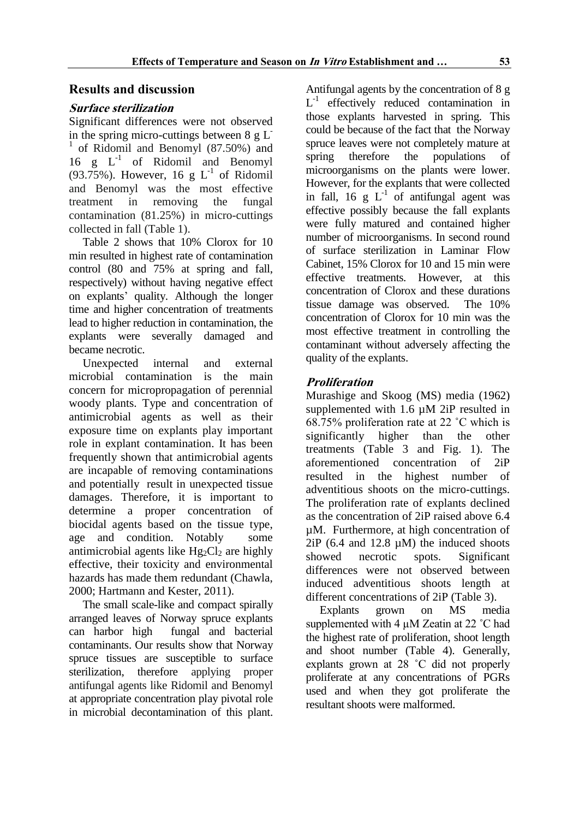## **Results and discussion**

#### **Surface sterilization**

Significant differences were not observed in the spring micro-cuttings between  $8 \text{ g L}$ 1 of Ridomil and Benomyl (87.50%) and  $16$  g  $L^{-1}$  of Ridomil and Benomyl (93.75%). However, 16 g  $L^{-1}$  of Ridomil and Benomyl was the most effective treatment in removing the fungal contamination (81.25%) in micro-cuttings collected in fall (Table 1).

Table 2 shows that 10% Clorox for 10 min resulted in highest rate of contamination control (80 and 75% at spring and fall, respectively) without having negative effect on explants' quality. Although the longer time and higher concentration of treatments lead to higher reduction in contamination, the explants were severally damaged and became necrotic.

Unexpected internal and external microbial contamination is the main concern for micropropagation of perennial woody plants. Type and concentration of antimicrobial agents as well as their exposure time on explants play important role in explant contamination. It has been frequently shown that antimicrobial agents are incapable of removing contaminations and potentially result in unexpected tissue damages. Therefore, it is important to determine a proper concentration of biocidal agents based on the tissue type, age and condition. Notably some antimicrobial agents like  $Hg_2Cl_2$  are highly effective, their toxicity and environmental hazards has made them redundant [\(Chawla,](#page-5-11)  [2000;](#page-5-11) [Hartmann and Kester, 2011\)](#page-5-3).

The small scale-like and compact spirally arranged leaves of Norway spruce explants can harbor high fungal and bacterial contaminants. Our results show that Norway spruce tissues are susceptible to surface sterilization, therefore applying proper antifungal agents like Ridomil and Benomyl at appropriate concentration play pivotal role in microbial decontamination of this plant.

Antifungal agents by the concentration of 8 g L<sup>-1</sup> effectively reduced contamination in those explants harvested in spring. This could be because of the fact that the Norway spruce leaves were not completely mature at spring therefore the populations of microorganisms on the plants were lower. However, for the explants that were collected in fall, 16 g  $L^{-1}$  of antifungal agent was effective possibly because the fall explants were fully matured and contained higher number of microorganisms. In second round of surface sterilization in Laminar Flow Cabinet, 15% Clorox for 10 and 15 min were effective treatments. However, at this concentration of Clorox and these durations tissue damage was observed. The 10% concentration of Clorox for 10 min was the most effective treatment in controlling the contaminant without adversely affecting the quality of the explants.

## **Proliferation**

Murashige and Skoog (MS) media (1962) supplemented with 1.6  $\mu$ M 2iP resulted in 68.75% proliferation rate at 22 ˚C which is significantly higher than the other treatments (Table 3 and Fig. 1). The aforementioned concentration of 2iP resulted in the highest number of adventitious shoots on the micro-cuttings. The proliferation rate of explants declined as the concentration of 2iP raised above 6.4 µM. Furthermore, at high concentration of  $2iP$  (6.4 and 12.8  $\mu$ M) the induced shoots showed necrotic spots. Significant differences were not observed between induced adventitious shoots length at different concentrations of 2iP (Table 3).

Explants grown on MS media supplemented with 4  $\mu$ M Zeatin at 22 °C had the highest rate of proliferation, shoot length and shoot number (Table 4). Generally, explants grown at 28 ˚C did not properly proliferate at any concentrations of PGRs used and when they got proliferate the resultant shoots were malformed.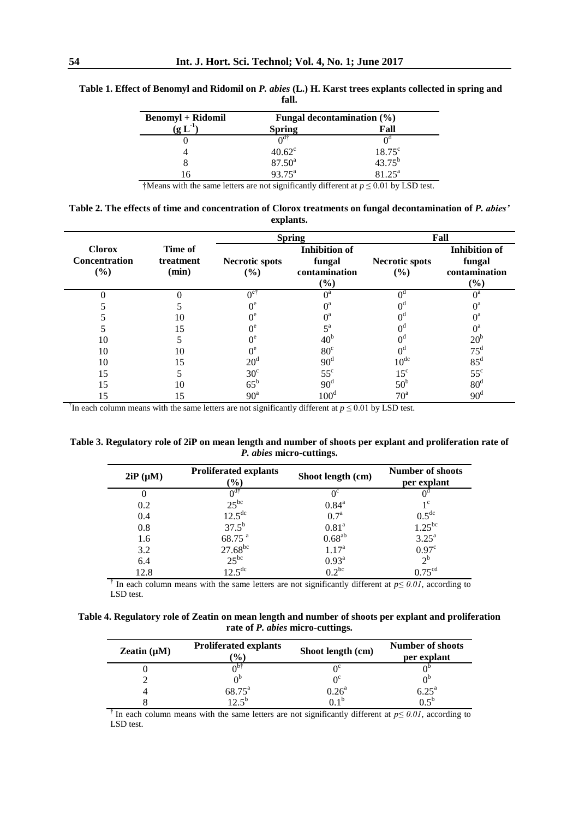| Fungal decontamination $(\% )$ |                       |  |
|--------------------------------|-----------------------|--|
| <b>Spring</b>                  | Fall                  |  |
|                                | ∩                     |  |
| $40.62^{\circ}$                | $18.75^{\circ}$       |  |
| $87.50^{\circ}$                | $43.75^{b}$           |  |
| $93.75^{\text{a}}$             | $81.25^{\rm a}$       |  |
|                                | $\Omega$ <sup>1</sup> |  |

**Table 1. Effect of Benomyl and Ridomil on** *P. abies* **(L.) H. Karst trees explants collected in spring and fall.**

†Means with the same letters are not significantly different at *p* ≤ 0.01 by LSD test.

**Table 2. The effects of time and concentration of Clorox treatments on fungal decontamination of** *P. abies'* **explants.**

|                                              |                               | <b>Spring</b>                |                                                           | Fall                         |                                                        |
|----------------------------------------------|-------------------------------|------------------------------|-----------------------------------------------------------|------------------------------|--------------------------------------------------------|
| <b>Clorox</b><br><b>Concentration</b><br>(%) | Time of<br>treatment<br>(min) | <b>Necrotic spots</b><br>(%) | <b>Inhibition</b> of<br>fungal<br>contamination<br>$(\%)$ | <b>Necrotic spots</b><br>(%) | <b>Inhibition</b> of<br>fungal<br>contamination<br>(%) |
|                                              |                               | ∩e'                          | $\Omega$ <sup>a</sup>                                     | ∩₫                           | $0^a$                                                  |
|                                              |                               |                              | $\bigcap^a$                                               |                              | $0^{\rm a}$                                            |
|                                              | 10                            |                              | $\bigcap$ a                                               |                              | $0^a$                                                  |
|                                              | 15                            | nе                           | $\epsilon$ a                                              |                              | $0^a$                                                  |
| 10                                           |                               |                              | 40 <sup>b</sup>                                           |                              | $20^{6}$                                               |
| 10                                           | 10                            | ∩°                           | 80 <sup>c</sup>                                           | $0^{\circ}$                  | $75^{\circ}$                                           |
| 10                                           | 15                            | $20^{\circ}$                 | 90 <sup>d</sup>                                           | 10 <sup>dc</sup>             | $85^{\rm d}$                                           |
| 15                                           |                               | $30^{\circ}$                 | $55^{\circ}$                                              | $15^{\circ}$                 | $55^{\circ}$                                           |
| 15                                           | 10                            | $65^{\rm b}$                 | 90 <sup>d</sup>                                           | 50 <sup>b</sup>              | 80 <sup>d</sup>                                        |
| 15                                           | 15                            | 90 <sup>a</sup>              | 100 <sup>d</sup>                                          | 70 <sup>a</sup>              | $90^{\circ}$                                           |

† In each column means with the same letters are not significantly different at *p* ≤ 0.01 by LSD test.

**Table 3. Regulatory role of 2iP on mean length and number of shoots per explant and proliferation rate of**  *P. abies* **micro-cuttings.**

| $2iP(\mu M)$ | <b>Proliferated explants</b><br>$(\%)$ | Shoot length (cm) | <b>Number of shoots</b><br>per explant |
|--------------|----------------------------------------|-------------------|----------------------------------------|
|              | ∩ <sup>d†</sup>                        | $0^{\circ}$       |                                        |
| 0.2          | $25^{bc}$                              | $0.84^{\text{a}}$ | $1^{\rm c}$                            |
| 0.4          | $12.5^{\text{dc}}$                     | 0.7 <sup>a</sup>  | $0.5^{\text{dc}}$                      |
| 0.8          | $37.5^{b}$                             | 0.81 <sup>a</sup> | $1.25^{bc}$                            |
| 1.6          | 68.75 <sup>a</sup>                     | $0.68^{ab}$       | 3.25 <sup>a</sup>                      |
| 3.2          | $27.68^{bc}$                           | 1.17 <sup>a</sup> | 0.97 <sup>c</sup>                      |
| 6.4          | $25^{bc}$                              | $0.93^{\text{a}}$ | $2^{\rm b}$                            |
| 12.8         | $12.5^{\rm dc}$                        | $0.2^{bc}$        | 0.75 <sup>cd</sup>                     |

<sup>†</sup> In each column means with the same letters are not significantly different at  $p \le 0.01$ , according to LSD test.

**Table 4. Regulatory role of Zeatin on mean length and number of shoots per explant and proliferation rate of** *P. abies* **micro-cuttings.**

| Zeatin $(\mu M)$ | <b>Proliferated explants</b><br>$\mathcal{O}_0$ | Shoot length (cm) | <b>Number of shoots</b><br>per explant |
|------------------|-------------------------------------------------|-------------------|----------------------------------------|
|                  |                                                 |                   |                                        |
|                  |                                                 |                   |                                        |
|                  | $68.75^{\circ}$                                 | $0.26^{\rm a}$    | 6.25 <sup>a</sup>                      |
|                  | $12 \,$ s <sup>b</sup>                          | ∩ 1 <sup>b</sup>  | 0.5 <sup>b</sup>                       |

<sup>†</sup> In each column means with the same letters are not significantly different at  $p \le 0.01$ , according to LSD test.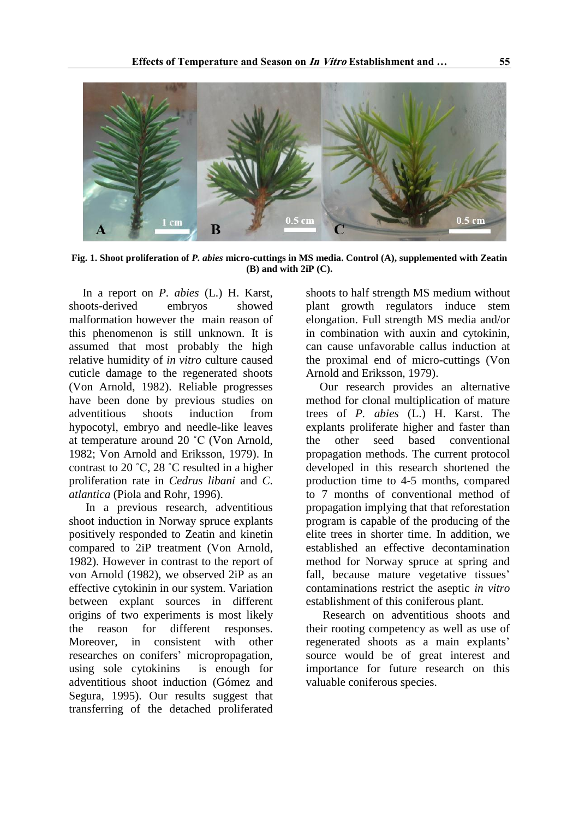

**Fig. 1. Shoot proliferation of** *P. abies* **micro-cuttings in MS media. Control (A), supplemented with Zeatin (B) and with 2iP (C).**

In a report on *P. abies* (L.) H. Karst, shoots-derived embryos showed malformation however the main reason of this phenomenon is still unknown. It is assumed that most probably the high relative humidity of *in vitro* culture caused cuticle damage to the regenerated shoots [\(Von Arnold, 1982\)](#page-5-12). Reliable progresses have been done by previous studies on adventitious shoots induction from hypocotyl, embryo and needle-like leaves at temperature around 20 ˚C [\(Von Arnold,](#page-5-12)  [1982;](#page-5-12) [Von Arnold and Eriksson, 1979\)](#page-5-9). In contrast to 20 ˚C, 28 ˚C resulted in a higher proliferation rate in *Cedrus libani* and *C. atlantica* [\(Piola and Rohr, 1996\)](#page-5-13).

In a previous research, adventitious shoot induction in Norway spruce explants positively responded to Zeatin and kinetin compared to 2iP treatment [\(Von Arnold,](#page-5-12)  [1982\)](#page-5-12). However in contrast to the report of von Arnold (1982), we observed 2iP as an effective cytokinin in our system. Variation between explant sources in different origins of two experiments is most likely the reason for different responses. Moreover, in consistent with other researches on conifers' micropropagation, using sole cytokinins is enough for adventitious shoot induction [\(Gómez and](#page-5-14)  [Segura, 1995\)](#page-5-14). Our results suggest that transferring of the detached proliferated

shoots to half strength MS medium without plant growth regulators induce stem elongation. Full strength MS media and/or in combination with auxin and cytokinin, can cause unfavorable callus induction at the proximal end of micro-cuttings [\(Von](#page-5-9)  [Arnold and Eriksson, 1979\)](#page-5-9).

Our research provides an alternative method for clonal multiplication of mature trees of *P. abies* (L.) H. Karst. The explants proliferate higher and faster than the other seed based conventional propagation methods. The current protocol developed in this research shortened the production time to 4-5 months, compared to 7 months of conventional method of propagation implying that that reforestation program is capable of the producing of the elite trees in shorter time. In addition, we established an effective decontamination method for Norway spruce at spring and fall, because mature vegetative tissues' contaminations restrict the aseptic *in vitro* establishment of this coniferous plant.

Research on adventitious shoots and their rooting competency as well as use of regenerated shoots as a main explants' source would be of great interest and importance for future research on this valuable coniferous species.